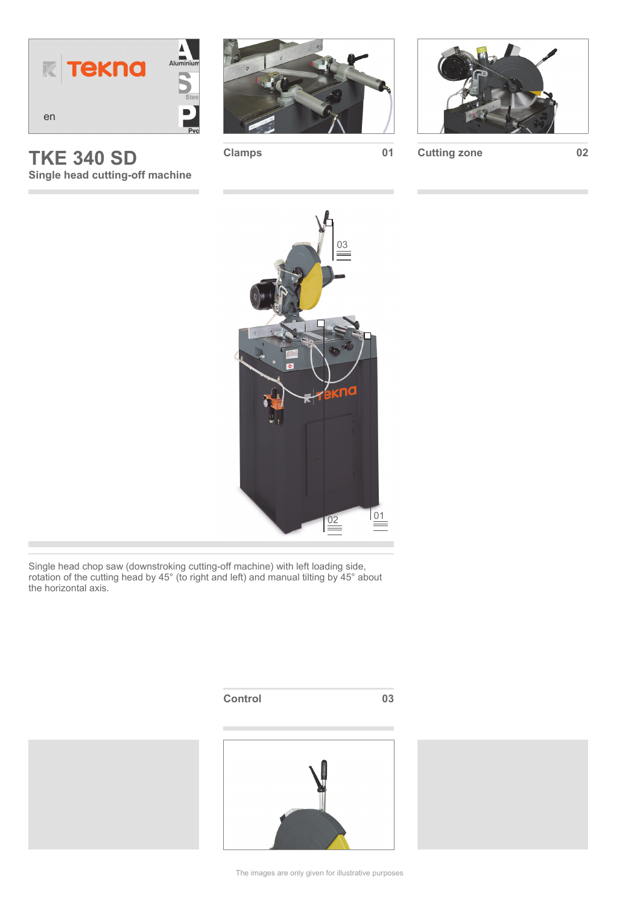

**TKE 340 SD Single head cutting-off machine** 

п





**Clamps 01 Cutting zone 02**



Single head chop saw (downstroking cutting-off machine) with left loading side, rotation of the cutting head by 45° (to right and left) and manual tilting by 45° about the horizontal axis.